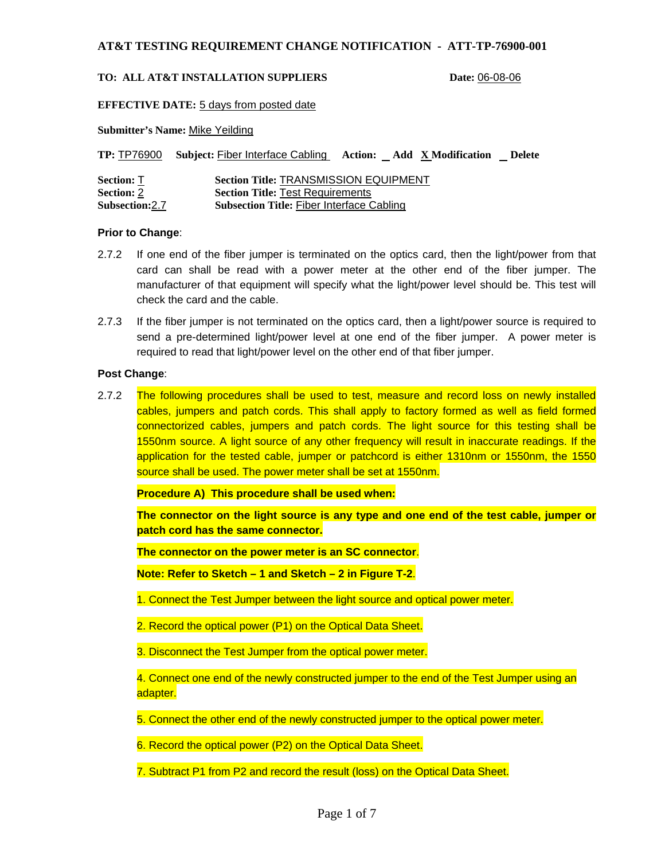#### **TO: ALL AT&T INSTALLATION SUPPLIERS Date:** 06-08-06

**EFFECTIVE DATE:** 5 days from posted date

**Submitter's Name:** Mike Yeilding

|                       | <b>TP: TP76900 Subject: Fiber Interface Cabling</b><br><b>Action:</b> Add X Modification<br><b>Delete</b> |
|-----------------------|-----------------------------------------------------------------------------------------------------------|
| <b>Section: T</b>     | <b>Section Title: TRANSMISSION EQUIPMENT</b>                                                              |
| <b>Section: 2</b>     | <b>Section Title: Test Requirements</b>                                                                   |
| <b>Subsection:2.7</b> | <b>Subsection Title: Fiber Interface Cabling</b>                                                          |

## **Prior to Change**:

- 2.7.2 If one end of the fiber jumper is terminated on the optics card, then the light/power from that card can shall be read with a power meter at the other end of the fiber jumper. The manufacturer of that equipment will specify what the light/power level should be. This test will check the card and the cable.
- 2.7.3 If the fiber jumper is not terminated on the optics card, then a light/power source is required to send a pre-determined light/power level at one end of the fiber jumper. A power meter is required to read that light/power level on the other end of that fiber jumper.

## **Post Change**:

2.7.2 The following procedures shall be used to test, measure and record loss on newly installed cables, jumpers and patch cords. This shall apply to factory formed as well as field formed connectorized cables, jumpers and patch cords. The light source for this testing shall be 1550nm source. A light source of any other frequency will result in inaccurate readings. If the application for the tested cable, jumper or patchcord is either 1310nm or 1550nm, the 1550 source shall be used. The power meter shall be set at 1550nm.

**Procedure A) This procedure shall be used when:** 

**The connector on the light source is any type and one end of the test cable, jumper or patch cord has the same connector.** 

**The connector on the power meter is an SC connector**.

**Note: Refer to Sketch – 1 and Sketch – 2 in Figure T-2**.

1. Connect the Test Jumper between the light source and optical power meter.

2. Record the optical power (P1) on the Optical Data Sheet.

3. Disconnect the Test Jumper from the optical power meter.

4. Connect one end of the newly constructed jumper to the end of the Test Jumper using an adapter.

5. Connect the other end of the newly constructed jumper to the optical power meter.

6. Record the optical power (P2) on the Optical Data Sheet.

7. Subtract P1 from P2 and record the result (loss) on the Optical Data Sheet.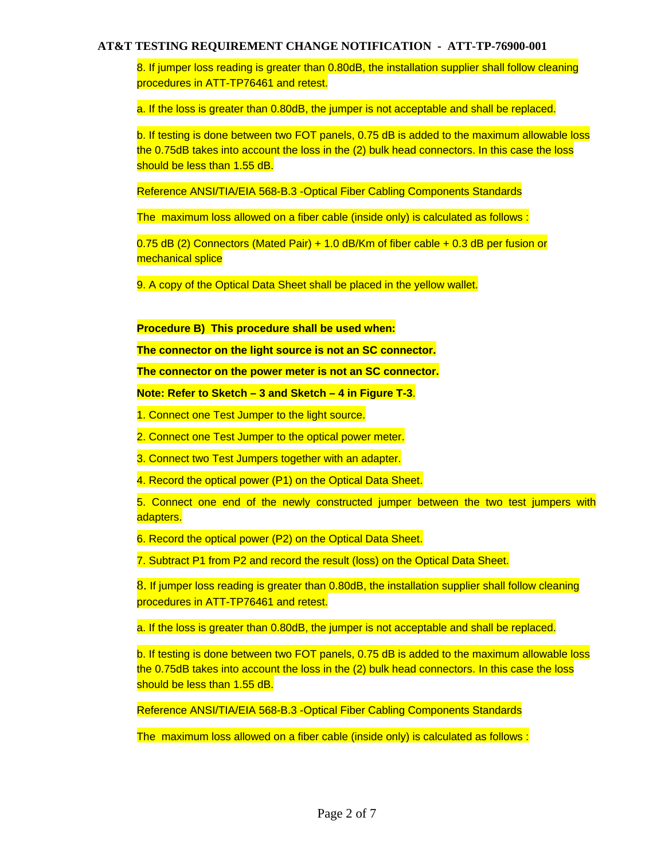8. If jumper loss reading is greater than 0.80dB, the installation supplier shall follow cleaning procedures in ATT-TP76461 and retest.

a. If the loss is greater than 0.80dB, the jumper is not acceptable and shall be replaced.

b. If testing is done between two FOT panels, 0.75 dB is added to the maximum allowable loss the 0.75dB takes into account the loss in the (2) bulk head connectors. In this case the loss should be less than 1.55 dB.

Reference ANSI/TIA/EIA 568-B.3 -Optical Fiber Cabling Components Standards

The maximum loss allowed on a fiber cable (inside only) is calculated as follows :

0.75 dB (2) Connectors (Mated Pair) + 1.0 dB/Km of fiber cable + 0.3 dB per fusion or mechanical splice

9. A copy of the Optical Data Sheet shall be placed in the yellow wallet.

**Procedure B) This procedure shall be used when:** 

**The connector on the light source is not an SC connector.** 

**The connector on the power meter is not an SC connector.** 

**Note: Refer to Sketch – 3 and Sketch – 4 in Figure T-3**.

1. Connect one Test Jumper to the light source.

2. Connect one Test Jumper to the optical power meter.

3. Connect two Test Jumpers together with an adapter.

4. Record the optical power (P1) on the Optical Data Sheet.

5. Connect one end of the newly constructed jumper between the two test jumpers with adapters.

6. Record the optical power (P2) on the Optical Data Sheet.

7. Subtract P1 from P2 and record the result (loss) on the Optical Data Sheet.

8. If jumper loss reading is greater than 0.80dB, the installation supplier shall follow cleaning procedures in ATT-TP76461 and retest.

a. If the loss is greater than 0.80dB, the jumper is not acceptable and shall be replaced.

b. If testing is done between two FOT panels, 0.75 dB is added to the maximum allowable loss the 0.75dB takes into account the loss in the (2) bulk head connectors. In this case the loss should be less than 1.55 dB.

Reference ANSI/TIA/EIA 568-B.3 -Optical Fiber Cabling Components Standards

The maximum loss allowed on a fiber cable (inside only) is calculated as follows :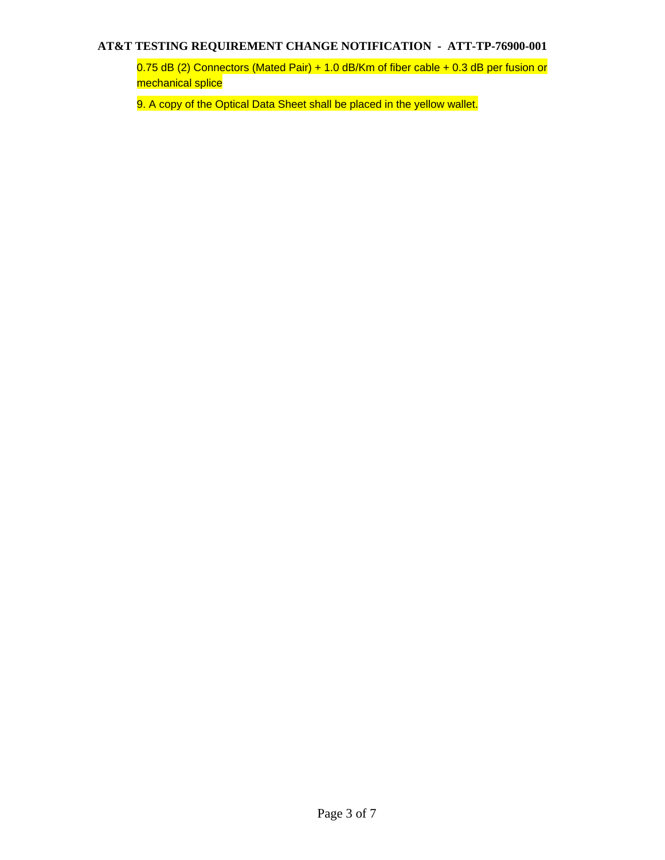0.75 dB (2) Connectors (Mated Pair) + 1.0 dB/Km of fiber cable + 0.3 dB per fusion or mechanical splice

9. A copy of the Optical Data Sheet shall be placed in the yellow wallet.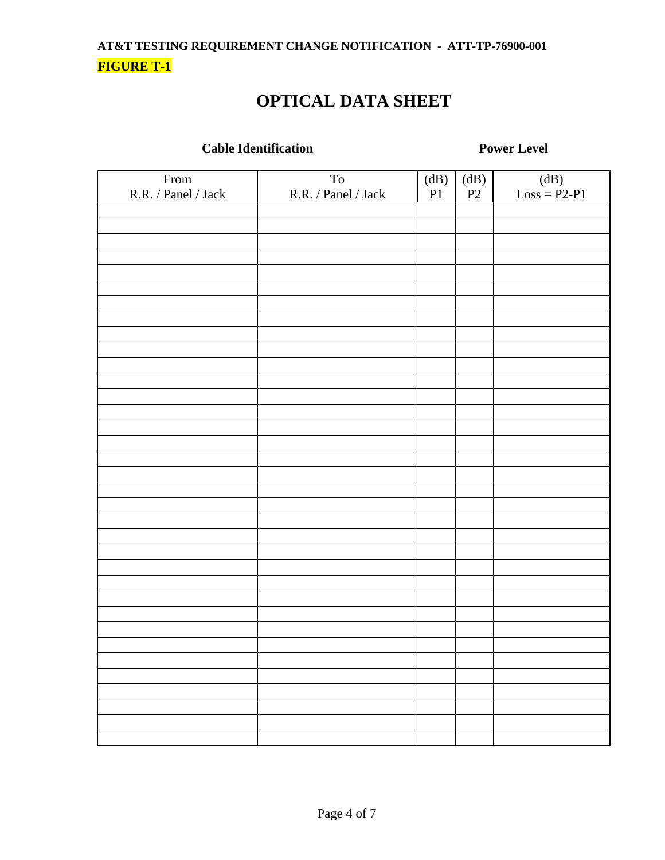# **OPTICAL DATA SHEET**

## **Cable Identification** Power Level

| From<br>$R.R.$ / $Panel$ / $Jack$ | $\operatorname{To}$<br>R.R. / Panel / Jack | $\left( \mathrm{dB}\right)$<br>$\mathbf{P}1$ | $\left( \mathrm{dB}\right)$<br>$\mathbf{P}2$ | $\overline{(dB)}$<br>$Loss = P2-P1$ |
|-----------------------------------|--------------------------------------------|----------------------------------------------|----------------------------------------------|-------------------------------------|
|                                   |                                            |                                              |                                              |                                     |
|                                   |                                            |                                              |                                              |                                     |
|                                   |                                            |                                              |                                              |                                     |
|                                   |                                            |                                              |                                              |                                     |
|                                   |                                            |                                              |                                              |                                     |
|                                   |                                            |                                              |                                              |                                     |
|                                   |                                            |                                              |                                              |                                     |
|                                   |                                            |                                              |                                              |                                     |
|                                   |                                            |                                              |                                              |                                     |
|                                   |                                            |                                              |                                              |                                     |
|                                   |                                            |                                              |                                              |                                     |
|                                   |                                            |                                              |                                              |                                     |
|                                   |                                            |                                              |                                              |                                     |
|                                   |                                            |                                              |                                              |                                     |
|                                   |                                            |                                              |                                              |                                     |
|                                   |                                            |                                              |                                              |                                     |
|                                   |                                            |                                              |                                              |                                     |
|                                   |                                            |                                              |                                              |                                     |
|                                   |                                            |                                              |                                              |                                     |
|                                   |                                            |                                              |                                              |                                     |
|                                   |                                            |                                              |                                              |                                     |
|                                   |                                            |                                              |                                              |                                     |
|                                   |                                            |                                              |                                              |                                     |
|                                   |                                            |                                              |                                              |                                     |
|                                   |                                            |                                              |                                              |                                     |
|                                   |                                            |                                              |                                              |                                     |
|                                   |                                            |                                              |                                              |                                     |
|                                   |                                            |                                              |                                              |                                     |
|                                   |                                            |                                              |                                              |                                     |
|                                   |                                            |                                              |                                              |                                     |
|                                   |                                            |                                              |                                              |                                     |
|                                   |                                            |                                              |                                              |                                     |
|                                   |                                            |                                              |                                              |                                     |
|                                   |                                            |                                              |                                              |                                     |
|                                   |                                            |                                              |                                              |                                     |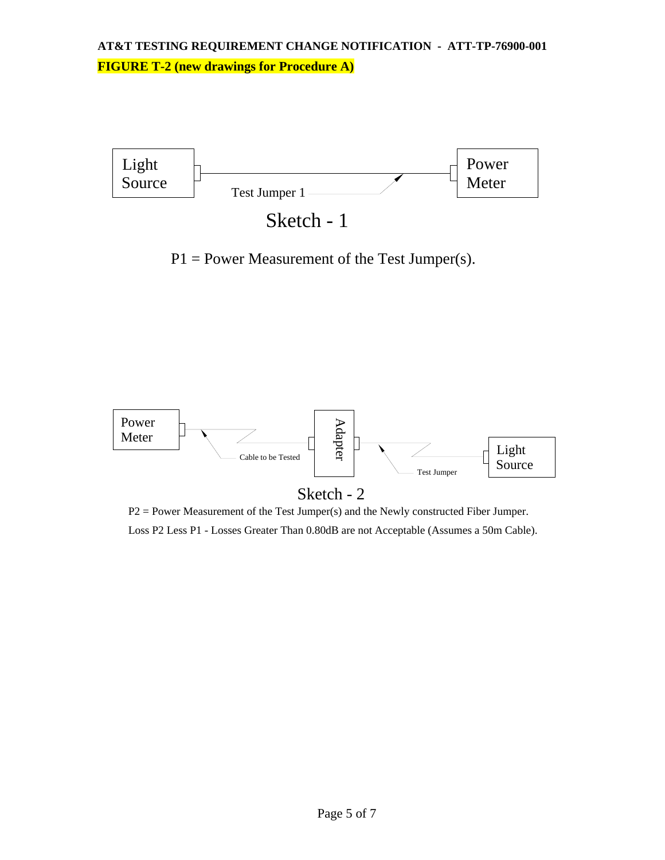

P1 = Power Measurement of the Test Jumper(s).



P2 = Power Measurement of the Test Jumper(s) and the Newly constructed Fiber Jumper. Loss P2 Less P1 - Losses Greater Than 0.80dB are not Acceptable (Assumes a 50m Cable).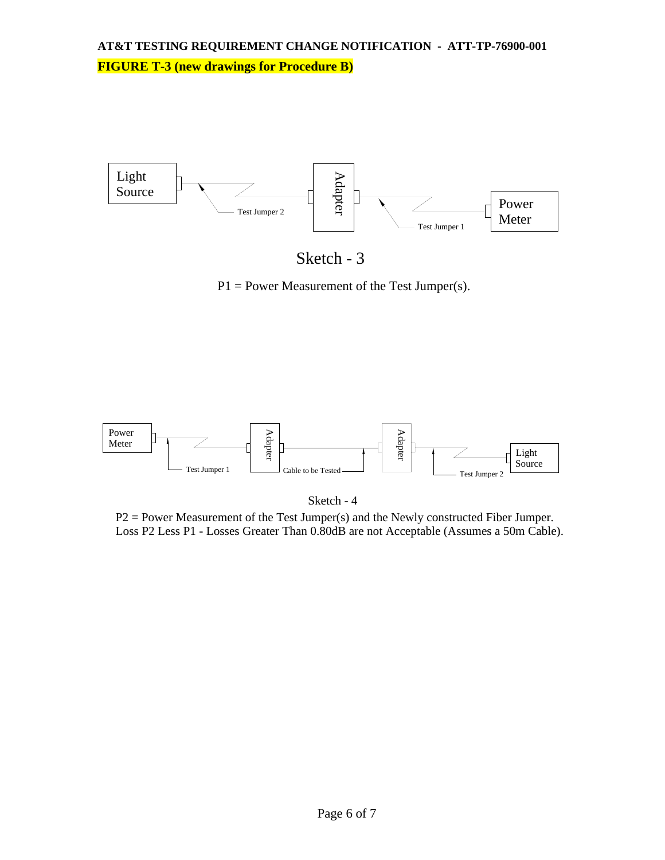

Sketch - 3

P1 = Power Measurement of the Test Jumper(s).





P2 = Power Measurement of the Test Jumper(s) and the Newly constructed Fiber Jumper. Loss P2 Less P1 - Losses Greater Than 0.80dB are not Acceptable (Assumes a 50m Cable).